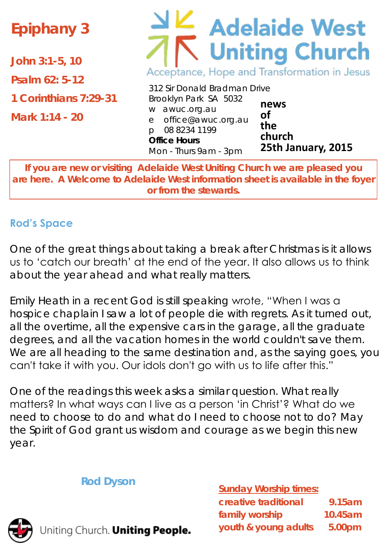# **Epiphany 3**

**John 3:1-5, 10**

**Psalm 62: 5-12**

**1 Corinthians 7:29-31**

**Mark 1:14 - 20**

# **E** Adelaide West<br>Viniting Church Acceptance, Hope and Transformation in Jesus

312 Sir Donald Bradman Drive Brooklyn Park SA 5032 w awuc.org.au e office@awuc.org.au p 08 8234 1199 **Office Hours**  Mon - Thurs 9am - 3pm **of the**

**news church 25th January, 2015**

**If you are new or visiting Adelaide West Uniting Church we are pleased you are here. A Welcome to Adelaide West information sheet is available in the foyer or from the stewards.**

## **Rod's Space**

One of the great things about taking a break after Christmas is it allows us to 'catch our breath' at the end of the year. It also allows us to think about the year ahead and what really matters.

Emily Heath in a recent *God is still speaking* wrote, "When I was a hospice chaplain I saw a lot of people die with regrets. As it turned out, all the overtime, all the expensive cars in the garage, all the graduate degrees, and all the vacation homes in the world couldn't save them. We are all heading to the same destination and, as the saying goes, you can't take it with you. Our idols don't go with us to life after this."

One of the readings this week asks a similar question. What really matters? In what ways can I live as a person 'in Christ'? What do we need to choose to do and what do I need to choose not to do? May the Spirit of God grant us wisdom and courage as we begin this new year.

**Rod Dyson**

**Sunday Worship times:** 

| creative traditional | 9.15am             |
|----------------------|--------------------|
| family worship       | $10.45$ am         |
| youth & young adults | 5.00 <sub>pm</sub> |



Jniting Church. Uniting People.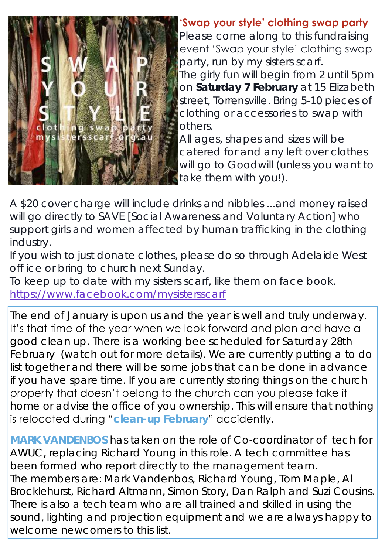

#### **'Swap your style' clothing swap party**

Please come along to this fundraising event 'Swap your style' clothing swap party, run by my sisters scarf.

The girly fun will begin from 2 until 5pm on **Saturday 7 February** at 15 Elizabeth street, Torrensville. Bring 5-10 pieces of clothing or accessories to swap with others.

All ages, shapes and sizes will be catered for and any left over clothes will go to Goodwill (unless you want to take them with you!).

A \$20 cover charge will include drinks and nibbles ...and money raised will go directly to SAVE [Social Awareness and Voluntary Action] who support girls and women affected by human trafficking in the clothing industry.

If you wish to just donate clothes, please do so through Adelaide West off ice or bring to church next Sunday.

To keep up to date with my sisters scarf, like them on face book. <https://www.facebook.com/mysistersscarf>

The end of January is upon us and the year is well and truly underway. It's that time of the year when we look forward and plan and have a good clean up. There is a working bee scheduled for Saturday 28th February (watch out for more details). We are currently putting a to do list together and there will be some jobs that can be done in advance if you have spare time. If you are currently storing things on the church property that doesn't belong to the church can you please take it home or advise the office of you ownership. This will ensure that nothing is relocated during "**clean-up February**" accidently.

**MARK VANDENBOS** has taken on the role of Co-coordinator of tech for AWUC, replacing Richard Young in this role. A tech committee has been formed who report directly to the management team. The members are: Mark Vandenbos, Richard Young, Tom Maple, Al Brocklehurst, Richard Altmann, Simon Story, Dan Ralph and Suzi Cousins. There is also a tech team who are all trained and skilled in using the sound, lighting and projection equipment and we are always happy to welcome newcomers to this list.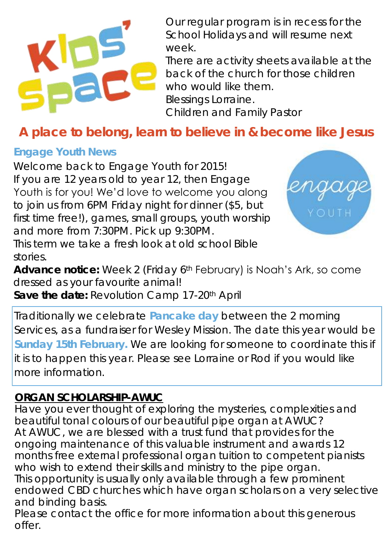

Our regular program is in recess for the School Holidays and will resume next week.

There are activity sheets available at the back of the church for those children who would like them. Blessings Lorraine. Children and Family Pastor

**A place to belong, learn to believe in & become like Jesus**

#### **Engage Youth News**

Welcome back to Engage Youth for 2015! If you are 12 years old to year 12, then Engage Youth is for you! We'd love to welcome you along to join us from 6PM Friday night for dinner (\$5, but first time free!), games, small groups, youth worship and more from 7:30PM. Pick up 9:30PM.



This term we take a fresh look at old school Bible stories.

**Advance notice:** Week 2 (Friday 6th February) is Noah's Ark, so come dressed as your favourite animal!

**Save the date:** Revolution Camp 17-20th April

Traditionally we celebrate **Pancake day** between the 2 morning Services, as a fundraiser for Wesley Mission. The date this year would be **Sunday 15th February.** We are looking for someone to coordinate this if it is to happen this year. Please see Lorraine or Rod if you would like more information.

#### *ORGAN SCHOLARSHIP-AWUC*

Have you ever thought of exploring the mysteries, complexities and beautiful tonal colours of our beautiful pipe organ at AWUC? At AWUC, we are blessed with a trust fund that provides for the ongoing maintenance of this valuable instrument and awards 12 months free external professional organ tuition to competent pianists who wish to extend their skills and ministry to the pipe organ. This opportunity is usually only available through a few prominent endowed CBD churches which have organ scholars on a very selective and binding basis.

Please contact the office for more information about this generous offer.